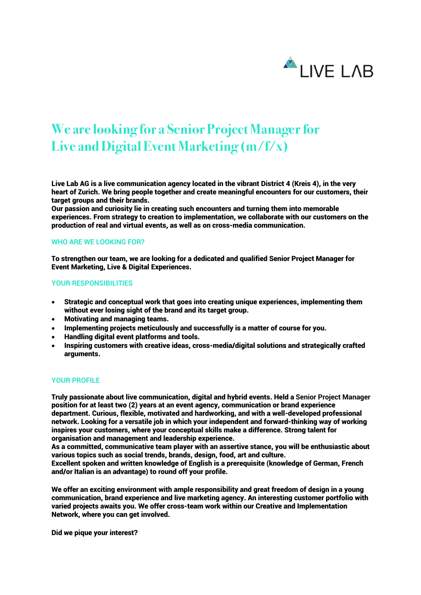

## **We are looking for a Senior Project Manager for Live and Digital Event Marketing (m/f/x)**

Live Lab AG is a live communication agency located in the vibrant District 4 (Kreis 4), in the very heart of Zurich. We bring people together and create meaningful encounters for our customers, their target groups and their brands.

Our passion and curiosity lie in creating such encounters and turning them into memorable experiences. From strategy to creation to implementation, we collaborate with our customers on the production of real and virtual events, as well as on cross-media communication.

## **WHO ARE WE LOOKING FOR?**

To strengthen our team, we are looking for a dedicated and qualified Senior Project Manager for Event Marketing, Live & Digital Experiences.

## **YOUR RESPONSIBILITIES**

- Strategic and conceptual work that goes into creating unique experiences, implementing them without ever losing sight of the brand and its target group.
- Motivating and managing teams.
- Implementing projects meticulously and successfully is a matter of course for you.
- Handling digital event platforms and tools.
- Inspiring customers with creative ideas, cross-media/digital solutions and strategically crafted arguments.

## **YOUR PROFILE**

Truly passionate about live communication, digital and hybrid events. Held a **Senior Project Manager** position for at least two (2) years at an event agency, communication or brand experience department. Curious, flexible, motivated and hardworking, and with a well-developed professional network. Looking for a versatile job in which your independent and forward-thinking way of working inspires your customers, where your conceptual skills make a difference. Strong talent for organisation and management and leadership experience.

As a committed, communicative team player with an assertive stance, you will be enthusiastic about various topics such as social trends, brands, design, food, art and culture.

Excellent spoken and written knowledge of English is a prerequisite (knowledge of German, French and/or Italian is an advantage) to round off your profile.

We offer an exciting environment with ample responsibility and great freedom of design in a young communication, brand experience and live marketing agency. An interesting customer portfolio with varied projects awaits you. We offer cross-team work within our Creative and Implementation Network, where you can get involved.

Did we pique your interest?